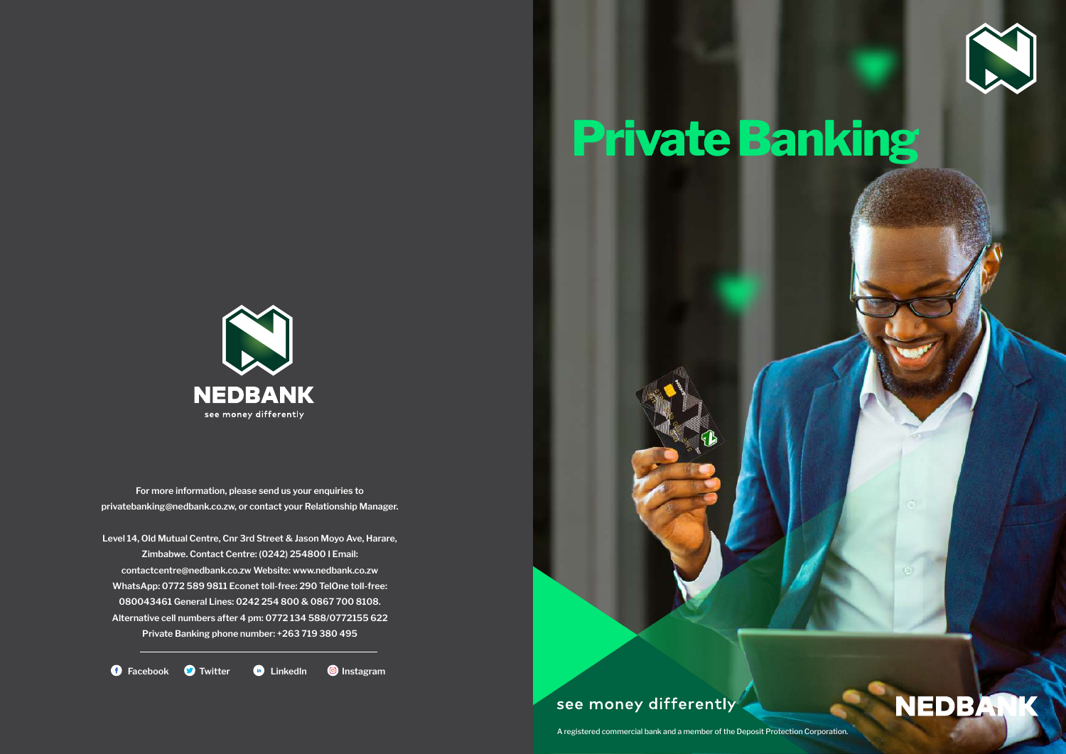

# Private Banking



For more information, please send us your enquiries to privatebanking@nedbank.co.zw, or contact your Relationship Manager.

Level 14, Old Mutual Centre, Cnr 3rd Street & Jason Moyo Ave, Harare, Zimbabwe. Contact Centre: (0242) 254800 I Email: contactcentre@nedbank.co.zw Website: www.nedbank.co.zw WhatsApp: 0772 589 9811 Econet toll-free: 290 TelOne toll-free: 080043461 General Lines: 0242 254 800 & 0867 700 8108. Alternative cell numbers after 4 pm: 0772 134 588/0772155 622 Private Banking phone number: +263 719 380 495

**O** Facebook **O** Twitter **C** LinkedIn **O** Instagram

see money differently